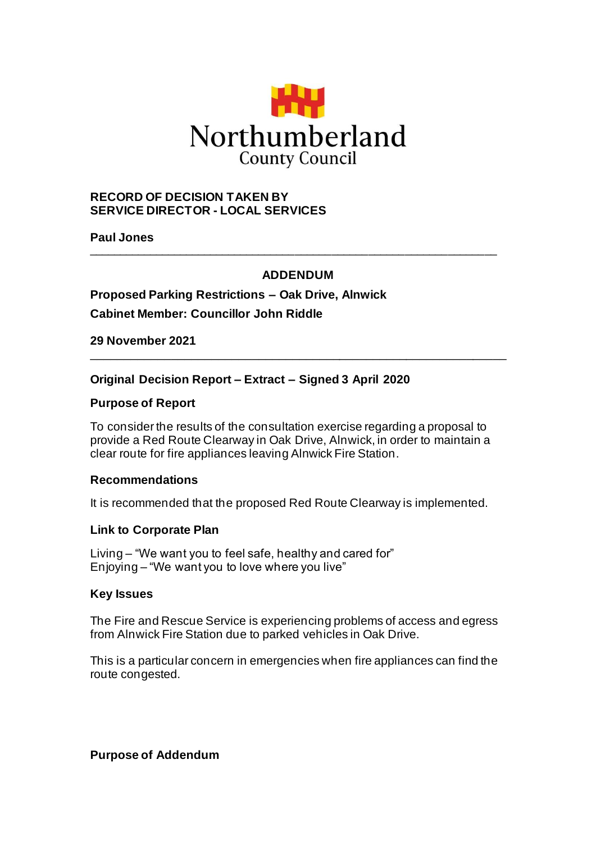

## **RECORD OF DECISION TAKEN BY SERVICE DIRECTOR - LOCAL SERVICES**

**Paul Jones**

# **ADDENDUM**

\_\_\_\_\_\_\_\_\_\_\_\_\_\_\_\_\_\_\_\_\_\_\_\_\_\_\_\_\_\_\_\_\_\_\_\_\_\_\_\_\_\_\_\_\_\_\_\_\_\_\_\_\_\_\_\_\_\_\_\_\_\_

\_\_\_\_\_\_\_\_\_\_\_\_\_\_\_\_\_\_\_\_\_\_\_\_\_\_\_\_\_\_\_\_\_\_\_\_\_\_\_\_\_\_\_\_\_\_\_\_\_\_\_\_\_\_\_\_\_\_\_\_\_\_\_\_\_\_\_

# **Proposed Parking Restrictions – Oak Drive, Alnwick Cabinet Member: Councillor John Riddle**

**29 November 2021**

### **Original Decision Report – Extract – Signed 3 April 2020**

### **Purpose of Report**

To consider the results of the consultation exercise regarding a proposal to provide a Red Route Clearway in Oak Drive, Alnwick, in order to maintain a clear route for fire appliances leaving Alnwick Fire Station.

### **Recommendations**

It is recommended that the proposed Red Route Clearway is implemented.

### **Link to Corporate Plan**

Living – "We want you to feel safe, healthy and cared for" Enjoying – "We want you to love where you live"

#### **Key Issues**

The Fire and Rescue Service is experiencing problems of access and egress from Alnwick Fire Station due to parked vehicles in Oak Drive.

This is a particular concern in emergencies when fire appliances can find the route congested.

**Purpose of Addendum**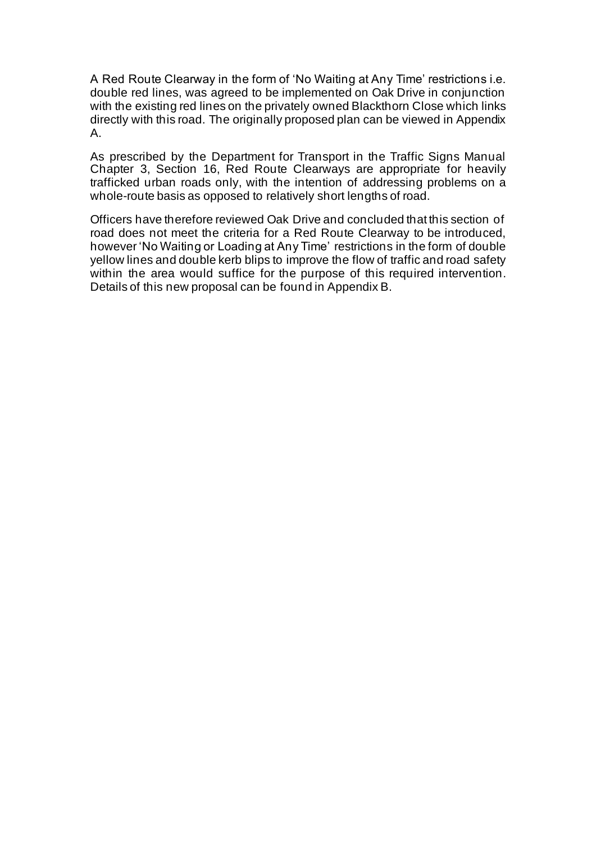A Red Route Clearway in the form of 'No Waiting at Any Time' restrictions i.e. double red lines, was agreed to be implemented on Oak Drive in conjunction with the existing red lines on the privately owned Blackthorn Close which links directly with this road. The originally proposed plan can be viewed in Appendix A.

As prescribed by the Department for Transport in the Traffic Signs Manual Chapter 3, Section 16, Red Route Clearways are appropriate for heavily trafficked urban roads only, with the intention of addressing problems on a whole-route basis as opposed to relatively short lengths of road.

Officers have therefore reviewed Oak Drive and concluded that this section of road does not meet the criteria for a Red Route Clearway to be introduced, however 'No Waiting or Loading at Any Time' restrictions in the form of double yellow lines and double kerb blips to improve the flow of traffic and road safety within the area would suffice for the purpose of this required intervention. Details of this new proposal can be found in Appendix B.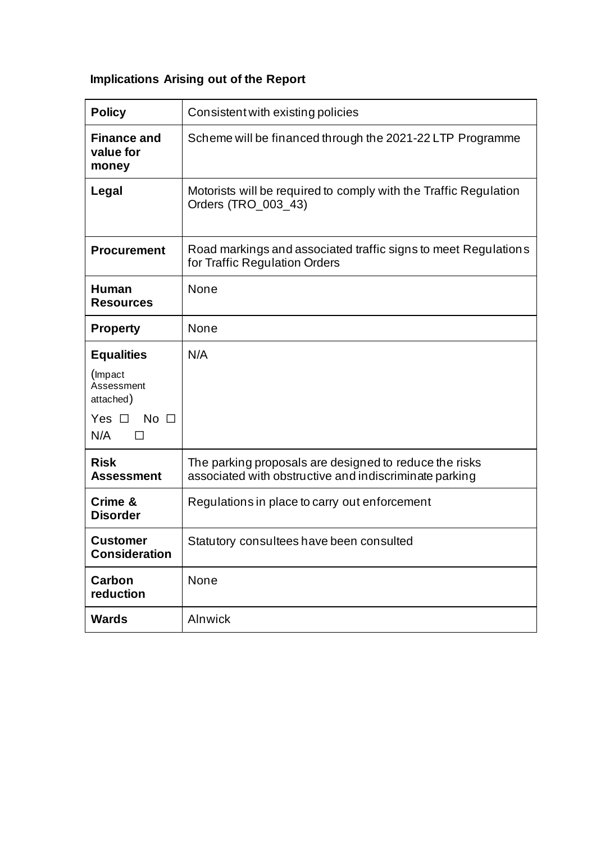# **Implications Arising out of the Report**

| <b>Policy</b>                              | Consistent with existing policies                                                                                |
|--------------------------------------------|------------------------------------------------------------------------------------------------------------------|
| <b>Finance and</b><br>value for<br>money   | Scheme will be financed through the 2021-22 LTP Programme                                                        |
| Legal                                      | Motorists will be required to comply with the Traffic Regulation<br>Orders (TRO_003_43)                          |
| <b>Procurement</b>                         | Road markings and associated traffic signs to meet Regulations<br>for Traffic Regulation Orders                  |
| <b>Human</b><br><b>Resources</b>           | None                                                                                                             |
| <b>Property</b>                            | None                                                                                                             |
| <b>Equalities</b>                          | N/A                                                                                                              |
| (Impact<br>Assessment<br>attached)         |                                                                                                                  |
| $No$ $\Box$<br>Yes $\Box$<br>N/A<br>$\Box$ |                                                                                                                  |
| <b>Risk</b><br><b>Assessment</b>           | The parking proposals are designed to reduce the risks<br>associated with obstructive and indiscriminate parking |
| Crime &<br><b>Disorder</b>                 | Regulations in place to carry out enforcement                                                                    |
| <b>Customer</b><br><b>Consideration</b>    | Statutory consultees have been consulted                                                                         |
| Carbon<br>reduction                        | None                                                                                                             |
| <b>Wards</b>                               | Alnwick                                                                                                          |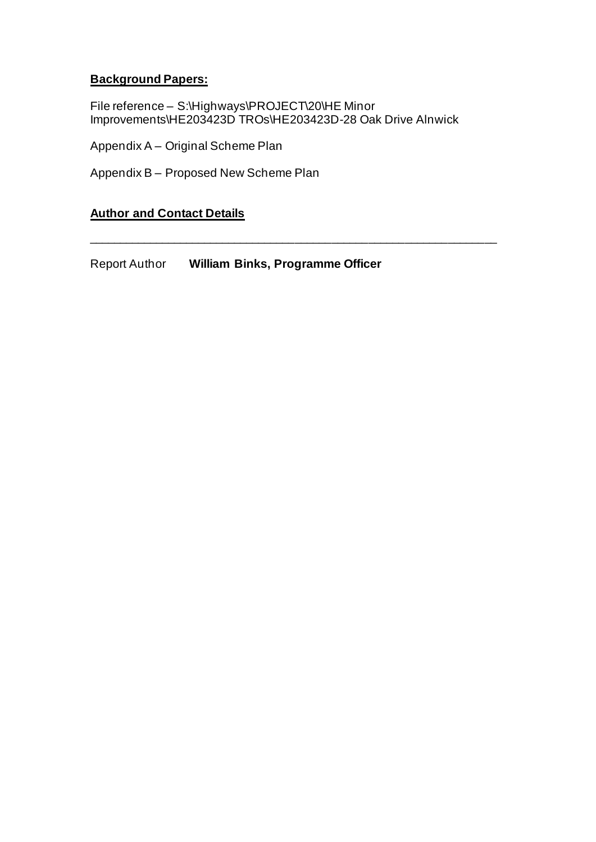# **Background Papers:**

File reference – S:\Highways\PROJECT\20\HE Minor Improvements\HE203423D TROs\HE203423D-28 Oak Drive Alnwick

\_\_\_\_\_\_\_\_\_\_\_\_\_\_\_\_\_\_\_\_\_\_\_\_\_\_\_\_\_\_\_\_\_\_\_\_\_\_\_\_\_\_\_\_\_\_\_\_\_\_\_\_\_\_\_\_\_\_\_\_\_\_\_\_\_\_\_

Appendix A – Original Scheme Plan

Appendix B – Proposed New Scheme Plan

# **Author and Contact Details**

Report Author **William Binks, Programme Officer**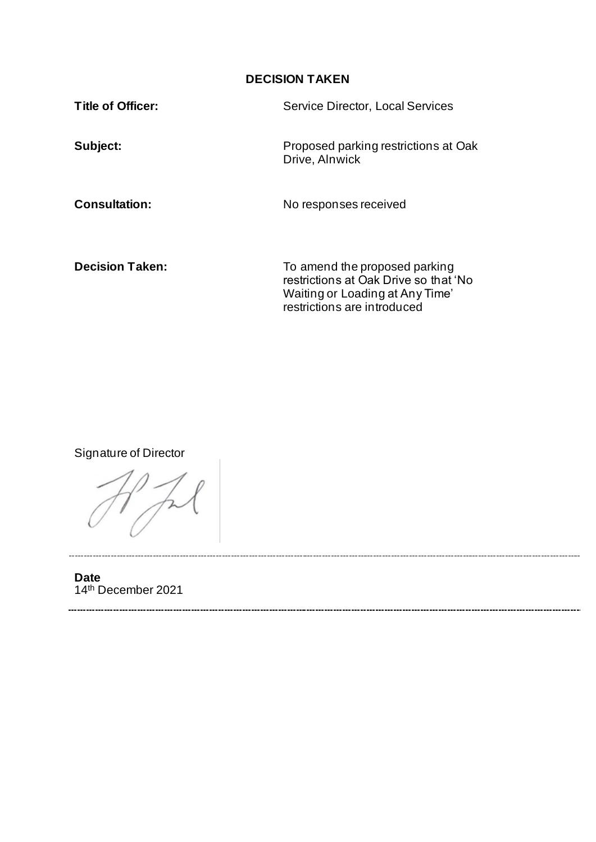# **DECISION TAKEN**

Waiting or Loading at Any Time'

restrictions are introduced

| Title of Officer:      | <b>Service Director, Local Services</b>                                |
|------------------------|------------------------------------------------------------------------|
| Subject:               | Proposed parking restrictions at Oak<br>Drive, Alnwick                 |
| <b>Consultation:</b>   | No responses received                                                  |
| <b>Decision Taken:</b> | To amend the proposed parking<br>restrictions at Oak Drive so that 'No |

Signature of Director

**Date** 14th December 2021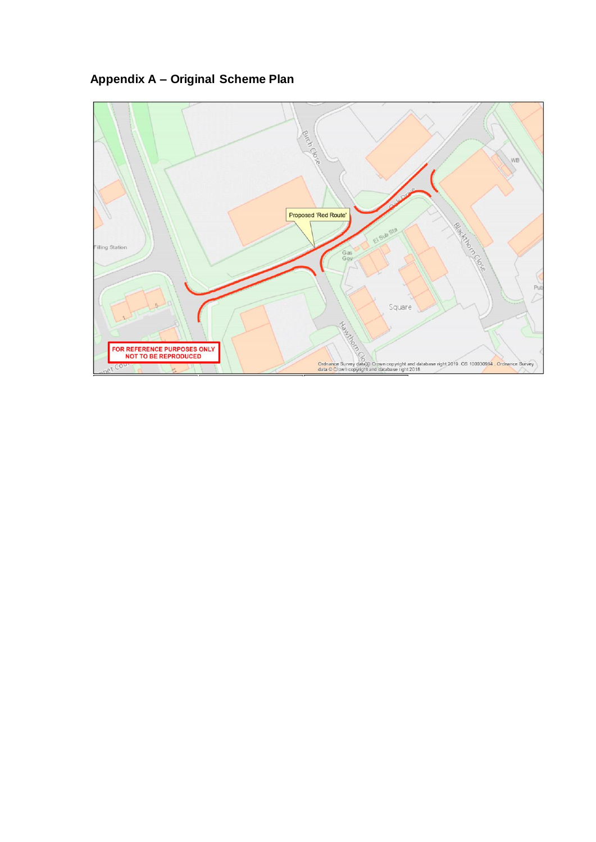**Appendix A – Original Scheme Plan**